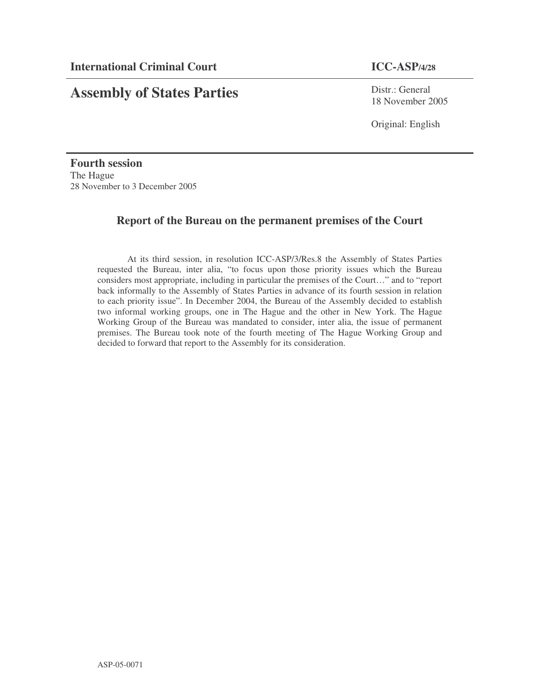# **Assembly of States Parties**

Distr.: General 18 November 2005

Original: English

**Fourth session** The Hague 28 November to 3 December 2005

## **Report of the Bureau on the permanent premises of the Court**

At its third session, in resolution ICC-ASP/3/Res.8 the Assembly of States Parties requested the Bureau, inter alia, "to focus upon those priority issues which the Bureau considers most appropriate, including in particular the premises of the Court…" and to "report back informally to the Assembly of States Parties in advance of its fourth session in relation to each priority issue". In December 2004, the Bureau of the Assembly decided to establish two informal working groups, one in The Hague and the other in New York. The Hague Working Group of the Bureau was mandated to consider, inter alia, the issue of permanent premises. The Bureau took note of the fourth meeting of The Hague Working Group and decided to forward that report to the Assembly for its consideration.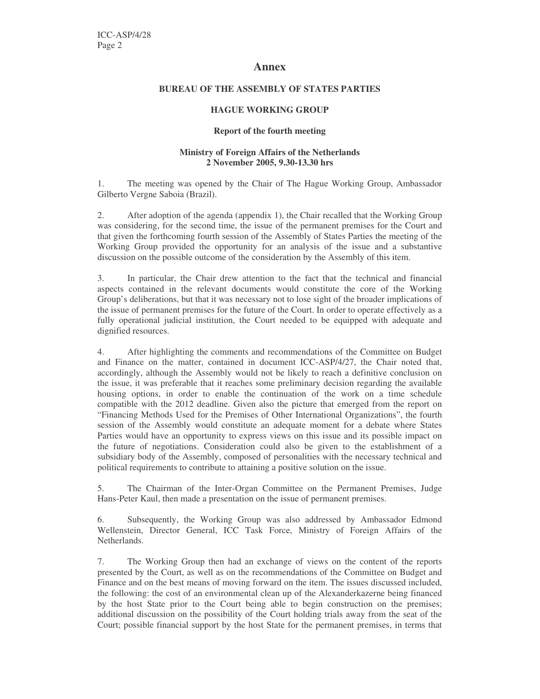#### **Annex**

#### **BUREAU OF THE ASSEMBLY OF STATES PARTIES**

#### **HAGUE WORKING GROUP**

#### **Report of the fourth meeting**

#### **Ministry of Foreign Affairs of the Netherlands 2 November 2005, 9.30-13.30 hrs**

1. The meeting was opened by the Chair of The Hague Working Group, Ambassador Gilberto Vergne Saboia (Brazil).

2. After adoption of the agenda (appendix 1), the Chair recalled that the Working Group was considering, for the second time, the issue of the permanent premises for the Court and that given the forthcoming fourth session of the Assembly of States Parties the meeting of the Working Group provided the opportunity for an analysis of the issue and a substantive discussion on the possible outcome of the consideration by the Assembly of this item.

3. In particular, the Chair drew attention to the fact that the technical and financial aspects contained in the relevant documents would constitute the core of the Working Group's deliberations, but that it was necessary not to lose sight of the broader implications of the issue of permanent premises for the future of the Court. In order to operate effectively as a fully operational judicial institution, the Court needed to be equipped with adequate and dignified resources.

4. After highlighting the comments and recommendations of the Committee on Budget and Finance on the matter, contained in document ICC-ASP/4/27, the Chair noted that, accordingly, although the Assembly would not be likely to reach a definitive conclusion on the issue, it was preferable that it reaches some preliminary decision regarding the available housing options, in order to enable the continuation of the work on a time schedule compatible with the 2012 deadline. Given also the picture that emerged from the report on "Financing Methods Used for the Premises of Other International Organizations", the fourth session of the Assembly would constitute an adequate moment for a debate where States Parties would have an opportunity to express views on this issue and its possible impact on the future of negotiations. Consideration could also be given to the establishment of a subsidiary body of the Assembly, composed of personalities with the necessary technical and political requirements to contribute to attaining a positive solution on the issue.

5. The Chairman of the Inter-Organ Committee on the Permanent Premises, Judge Hans-Peter Kaul, then made a presentation on the issue of permanent premises.

6. Subsequently, the Working Group was also addressed by Ambassador Edmond Wellenstein, Director General, ICC Task Force, Ministry of Foreign Affairs of the Netherlands.

7. The Working Group then had an exchange of views on the content of the reports presented by the Court, as well as on the recommendations of the Committee on Budget and Finance and on the best means of moving forward on the item. The issues discussed included, the following: the cost of an environmental clean up of the Alexanderkazerne being financed by the host State prior to the Court being able to begin construction on the premises; additional discussion on the possibility of the Court holding trials away from the seat of the Court; possible financial support by the host State for the permanent premises, in terms that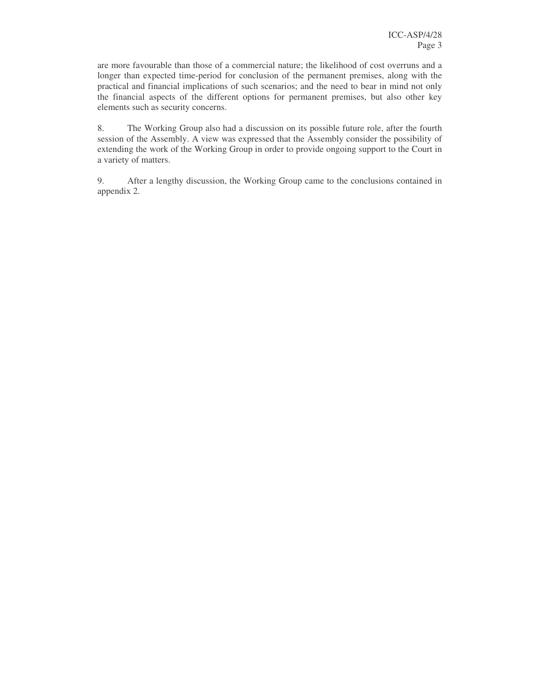are more favourable than those of a commercial nature; the likelihood of cost overruns and a longer than expected time-period for conclusion of the permanent premises, along with the practical and financial implications of such scenarios; and the need to bear in mind not only the financial aspects of the different options for permanent premises, but also other key elements such as security concerns.

8. The Working Group also had a discussion on its possible future role, after the fourth session of the Assembly. A view was expressed that the Assembly consider the possibility of extending the work of the Working Group in order to provide ongoing support to the Court in a variety of matters.

9. After a lengthy discussion, the Working Group came to the conclusions contained in appendix 2.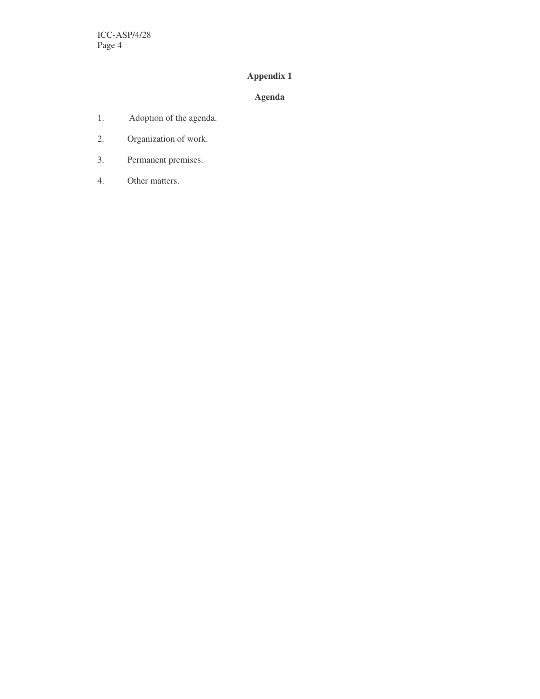## **Appendix 1**

## **Agenda**

- 1. Adoption of the agenda.
- 2. Organization of work.
- 3. Permanent premises.
- 4. Other matters.